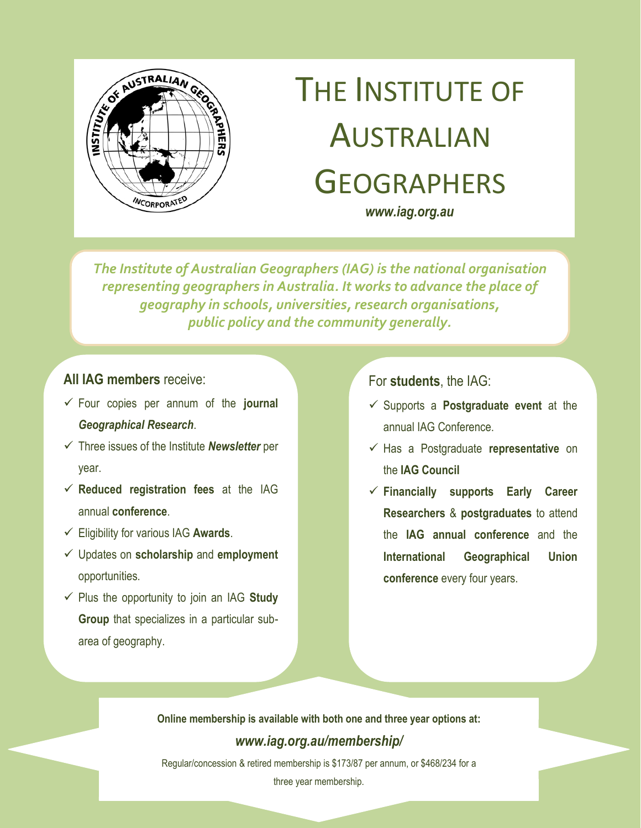

# THE INSTITUTE OF AUSTRALIAN **GEOGRAPHERS**

*www.iag.org.au*

*The Institute of Australian Geographers (IAG) is the national organisation representing geographers in Australia. It works to advance the place of geography in schools, universities, research organisations, public policy and the community generally.*

### **All IAG members** receive:

- Four copies per annum of the **journal** *Geographical Research*.
- Three issues of the Institute *Newsletter* per year.
- **Reduced registration fees** at the IAG annual **conference**.
- Eligibility for various IAG **Awards**.
- Updates on **scholarship** and **employment** opportunities.
- $\checkmark$  Plus the opportunity to join an IAG Study **Group** that specializes in a particular subarea of geography.

#### For **students**, the IAG:

- Supports a **Postgraduate event** at the annual IAG Conference.
- Has a Postgraduate **representative** on the **IAG Council**
- **Financially supports Early Career Researchers** & **postgraduates** to attend the **IAG annual conference** and the **International Geographical Union conference** every four years.

**Online membership is available with both one and three year options at:**  *www.iag.org.au/membership/*

Regular/concession & retired membership is \$173/87 per annum, or \$468/234 for a

three year membership.